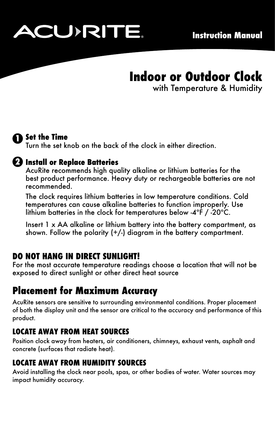

# **Indoor or Outdoor Clock**

with Temperature & Humidity



## **Set the Time 1**

Turn the set knob on the back of the clock in either direction.

### **Install or Replace Batteries 2**

AcuRite recommends high quality alkaline or lithium batteries for the best product performance. Heavy duty or rechargeable batteries are not recommended.

The clock requires lithium batteries in low temperature conditions. Cold temperatures can cause alkaline batteries to function improperly. Use lithium batteries in the clock for temperatures below -4ºF / -20ºC.

Insert 1 x AA alkaline or lithium battery into the battery compartment, as shown. Follow the polarity  $(+/-)$  diagram in the battery compartment.

### **DO NOT HANG IN DIRECT SUNLIGHT!**

For the most accurate temperature readings choose a location that will not be exposed to direct sunlight or other direct heat source

# **Placement for Maximum Accuracy**

AcuRite sensors are sensitive to surrounding environmental conditions. Proper placement of both the display unit and the sensor are critical to the accuracy and performance of this product.

### **LOCATE AWAY FROM HEAT SOURCES**

Position clock away from heaters, air conditioners, chimneys, exhaust vents, asphalt and concrete (surfaces that radiate heat).

### **LOCATE AWAY FROM HUMIDITY SOURCES**

Avoid installing the clock near pools, spas, or other bodies of water. Water sources may impact humidity accuracy.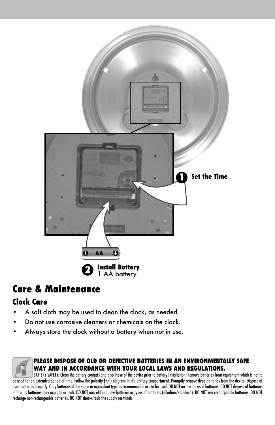

# **Care & Maintenance**

### **Clock Care**

- A soft cloth may be used to clean the clock, as needed.
- Do not use corrosive cleaners or chemicals on the clock.
- Always store the clock without a battery when not in use.



### **PLEASE DISPOSE OF OLD OR DEFECTIVE BATTERIES IN AN ENVIRONMENTALLY SAFE WAY AND IN ACCORDANCE WITH YOUR LOCAL LAWS AND REGULATIONS.**

BATTERY SAFETY: Clean the battery contacts and also those of the device prior to battery installation. Remove batteries from equipment which is not to be used for an extended period of time. Follow the polarity (+/-) diagram in the battery compartment. Promptly remove dead batteries from the device. Dispose of used batteries properly. Only batteries of the same or equivalent type as recommended are to be used. DO NOT incinerate used batteries. DO NOT dispose of batteries in fire, as batteries may explode or leak. DO NOT mix old and new batteries or types of batteries (alkaline/standard). DO NOT use rechargeable batteries. DO NOT recharge non-rechargeable batteries. DO NOT short-circuit the supply terminals.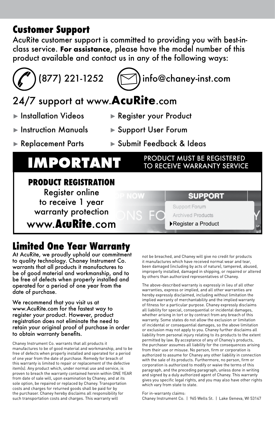## **Customer Support**

AcuRite customer support is committed to providing you with best-inclass service. **For assistance**, please have the model number of this product available and contact us in any of the following ways:

# $(877)$  221-1252  $($   $\heartsuit$ ) info@chaney-inst.com

# 24/7 support at www.**AcuRite**.com

- ► Installation Videos ► Register your Product
- 
- ► Instruction Manuals ► Support User Forum
- ► Replacement Parts ► Submit Feedback & Ideas

# **IMPORTANT** PRODUCT MUST BE REGISTERED

### **PRODUCT REGISTRATION** Register online **SUPPORT** to receive 1 year Support Forum warranty protection **Archived Products** www.**AcuRite**.com ►Register a Product

# **Limited One Year Warranty**

At AcuRite, we proudly uphold our commitment to quality technology. Chaney Instrument Co. warrants that all products it manufactures to be of good material and workmanship, and to be free of defects when properly installed and operated for a period of one year from the date of purchase.

### We recommend that you visit us at www.AcuRite.com for the fastest way to register your product. However, product registration does not eliminate the need to retain your original proof of purchase in order to obtain warranty benefits.

Chaney Instrument Co. warrants that all products it manufactures to be of good material and workmanship, and to be free of defects when properly installed and operated for a period of one year from the date of purchase. Remedy for breach of this warranty is limited to repair or replacement of the defective item(s). Any product which, under normal use and service, is proven to breach the warranty contained herein within ONE YEAR from date of sale will, upon examination by Chaney, and at its sole option, be repaired or replaced by Chaney. Transportation costs and charges for returned goods shall be paid for by the purchaser. Chaney hereby disclaims all responsibility for such transportation costs and charges. This warranty will

not be breached, and Chaney will give no credit for products it manufactures which have received normal wear and tear, been damaged (including by acts of nature), tampered, abused, improperly installed, damaged in shipping, or repaired or altered by others than authorized representatives of Chaney.

TO RECEIVE WARRANTY SERVICE

The above-described warranty is expressly in lieu of all other warranties, express or implied, and all other warranties are hereby expressly disclaimed, including without limitation the implied warranty of merchantability and the implied warranty of fitness for a particular purpose. Chaney expressly disclaims all liability for special, consequential or incidental damages, whether arising in tort or by contract from any breach of this warranty. Some states do not allow the exclusion or limitation of incidental or consequential damages, so the above limitation or exclusion may not apply to you. Chaney further disclaims all liability from personal injury relating to its products to the extent permitted by law. By acceptance of any of Chaney's products, the purchaser assumes all liability for the consequences arising from their use or misuse. No person, firm or corporation is authorized to assume for Chaney any other liability in connection with the sale of its products. Furthermore, no person, firm or corporation is authorized to modify or waive the terms of this paragraph, and the preceding paragraph, unless done in writing and signed by a duly authorized agent of Chaney. This warranty gives you specific legal rights, and you may also have other rights which vary from state to state.

For in-warranty claims:

Chaney Instrument Co. | 965 Wells St. | Lake Geneva, WI 53147